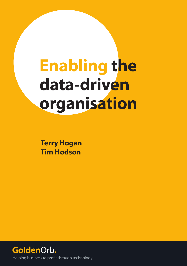# **Enabling the data-driven organisation**

**Terry Hogan Tim Hodson**

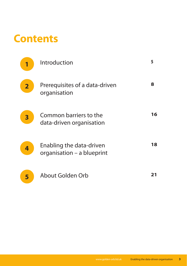### **Contents**

| 1                       | Introduction                                           | 5  |
|-------------------------|--------------------------------------------------------|----|
| $\overline{\mathbf{2}}$ | Prerequisites of a data-driven<br>organisation         | 8  |
| 3                       | Common barriers to the<br>data-driven organisation     | 16 |
| 4                       | Enabling the data-driven<br>organisation - a blueprint | 18 |
| 5                       | About Golden Orb                                       |    |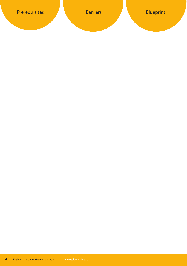**4** Enabling the data-driven organisation www.golden-orb.ltd.uk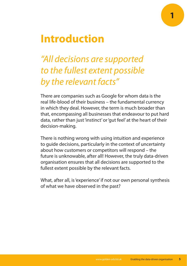#### **Introduction**

#### "All decisions are supported to the fullest extent possible by the relevant facts"

There are companies such as Google for whom data is the real life-blood of their business – the fundamental currency in which they deal. However, the term is much broader than that, encompassing all businesses that endeavour to put hard data, rather than just 'instinct' or 'gut feel' at the heart of their decision-making.

There is nothing wrong with using intuition and experience to guide decisions, particularly in the context of uncertainty about how customers or competitors will respond – the future is unknowable, after all! However, the truly data-driven organisation ensures that all decisions are supported to the fullest extent possible by the relevant facts.

What, after all, is 'experience' if not our own personal synthesis of what we have observed in the past?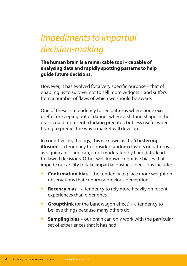#### Impediments to impartial decision-making

#### **The human brain is a remarkable tool – capable of analysing data and rapidly spotting patterns to help guide future decisions.**

However, it has evolved for a very specifc purpose – that of enabling us to survive, not to sell more widgets – and sufers from a number of faws of which we should be aware.

One of these is a tendency to see patterns where none exist – useful for keeping out of danger where a shifting shape in the grass could represent a lurking predator, but less useful when trying to predict the way a market will develop.

In cognitive psychology, this is known as the '**clustering illusion**' – a tendency to consider random clusters or patterns as signifcant – and can, if not moderated by hard data, lead to fawed decisions. Other well-known cognitive biases that impede our ability to take impartial business decisions include:

- **Confirmation bias** the tendency to place more weight on observations that confrm a previous perception
- **Recency bias** a tendency to rely more heavily on recent experiences than older ones
- **Groupthink** (or the bandwagon effect) a tendency to believe things because many others do
- **6 Sampling bias** our brain can only work with the particular set of experiences that it has had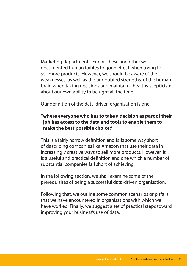Marketing departments exploit these and other welldocumented human foibles to good efect when trying to sell more products. However, we should be aware of the weaknesses, as well as the undoubted strengths, of the human brain when taking decisions and maintain a healthy scepticism about our own ability to be right all the time.

Our defnition of the data-driven organisation is one:

#### **"where everyone who has to take a decision as part of their job has access to the data and tools to enable them to make the best possible choice."**

This is a fairly narrow defnition and falls some way short of describing companies like Amazon that use their data in increasingly creative ways to sell more products. However, it is a useful and practical defnition and one which a number of substantial companies fall short of achieving.

In the following section, we shall examine some of the prerequisites of being a successful data-driven organisation.

Following that, we outline some common scenarios or pitfalls that we have encountered in organisations with which we have worked. Finally, we suggest a set of practical steps toward improving your business's use of data.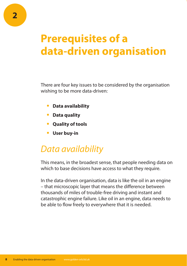### **Prerequisites of a data-driven organisation**

There are four key issues to be considered by the organisation wishing to be more data-driven:

- **t Data availability**
- **t Data quality**
- **t Quality of tools**
- **t User buy-in**

#### Data availability

This means, in the broadest sense, that people needing data on which to base decisions have access to what they require.

In the data-driven organisation, data is like the oil in an engine – that microscopic layer that means the diference between thousands of miles of trouble-free driving and instant and catastrophic engine failure. Like oil in an engine, data needs to be able to flow freely to everywhere that it is needed.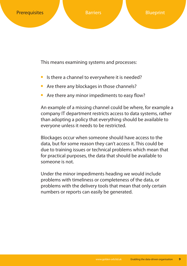This means examining systems and processes:

- Is there a channel to everywhere it is needed?
- **•** Are there any blockages in those channels?
- Are there any minor impediments to easy flow?

An example of a missing channel could be where, for example a company IT department restricts access to data systems, rather than adopting a policy that everything should be available to everyone unless it needs to be restricted.

Blockages occur when someone should have access to the data, but for some reason they can't access it. This could be due to training issues or technical problems which mean that for practical purposes, the data that should be available to someone is not.

Under the minor impediments heading we would include problems with timeliness or completeness of the data, or problems with the delivery tools that mean that only certain numbers or reports can easily be generated.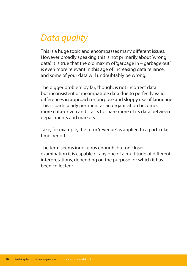#### Data quality

This is a huge topic and encompasses many diferent issues. However broadly speaking this is not primarily about 'wrong data'. It is true that the old maxim of 'garbage in – garbage out' is even more relevant in this age of increasing data reliance, and some of your data will undoubtably be wrong.

The bigger problem by far, though, is not incorrect data but inconsistent or incompatible data due to perfectly valid diferences in approach or purpose and sloppy use of language. This is particularly pertinent as an organisation becomes more data-driven and starts to share more of its data between departments and markets.

Take, for example, the term 'revenue' as applied to a particular time period.

The term seems innocuous enough, but on closer examination it is capable of any one of a multitude of diferent interpretations, depending on the purpose for which it has been collected: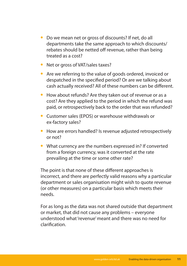- **t** Do we mean net or gross of discounts? If net, do all departments take the same approach to which discounts/ rebates should be netted off revenue, rather than being treated as a cost?
- **•** Net or gross of VAT/sales taxes?
- **•** Are we referring to the value of goods ordered, invoiced or despatched in the specifed period? Or are we talking about cash actually received? All of these numbers can be diferent.
- **t** How about refunds? Are they taken out of revenue or as a cost? Are they applied to the period in which the refund was paid, or retrospectively back to the order that was refunded?
- **t** Customer sales (EPOS) or warehouse withdrawals or ex-factory sales?
- **•** How are errors handled? Is revenue adjusted retrospectively or not?
- **What currency are the numbers expressed in? If converted** from a foreign currency, was it converted at the rate prevailing at the time or some other rate?

The point is that none of these diferent approaches is incorrect, and there are perfectly valid reasons why a particular department or sales organisation might wish to quote revenue (or other measures) on a particular basis which meets their needs.

For as long as the data was not shared outside that department or market, that did not cause any problems – everyone understood what 'revenue' meant and there was no need for clarifcation.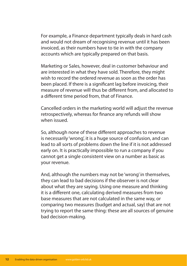For example, a Finance department typically deals in hard cash and would not dream of recognising revenue until it has been invoiced, as their numbers have to tie in with the company accounts which are typically prepared on that basis.

Marketing or Sales, however, deal in customer behaviour and are interested in what they have sold. Therefore, they might wish to record the ordered revenue as soon as the order has been placed. If there is a signifcant lag before invoicing, their measure of revenue will thus be diferent from, and allocated to a diferent time period from, that of Finance.

Cancelled orders in the marketing world will adjust the revenue retrospectively, whereas for fnance any refunds will show when issued.

So, although none of these diferent approaches to revenue is necessarily 'wrong', it is a huge source of confusion, and can lead to all sorts of problems down the line if it is not addressed early on. It is practically impossible to run a company if you cannot get a single consistent view on a number as basic as your revenue.

And, although the numbers may not be 'wrong' in themselves, they can lead to bad decisions if the observer is not clear about what they are saying. Using one measure and thinking it is a diferent one, calculating derived measures from two base measures that are not calculated in the same way, or comparing two measures (budget and actual, say) that are not trying to report the same thing: these are all sources of genuine bad decision-making.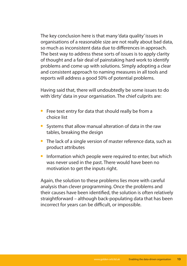The key conclusion here is that many 'data quality' issues in organisations of a reasonable size are not really about bad data, so much as inconsistent data due to diferences in approach. The best way to address these sorts of issues is to apply clarity of thought and a fair deal of painstaking hard work to identify problems and come up with solutions. Simply adopting a clear and consistent approach to naming measures in all tools and reports will address a good 50% of potential problems.

Having said that, there will undoubtedly be some issues to do with 'dirty' data in your organisation. The chief culprits are:

- **•** Free text entry for data that should really be from a choice list
- **•** Systems that allow manual alteration of data in the raw tables, breaking the design
- **•** The lack of a single version of master reference data, such as product attributes
- **•** Information which people were required to enter, but which was never used in the past. There would have been no motivation to get the inputs right.

Again, the solution to these problems lies more with careful analysis than clever programming. Once the problems and their causes have been identifed, the solution is often relatively straightforward – although back-populating data that has been incorrect for years can be difficult, or impossible.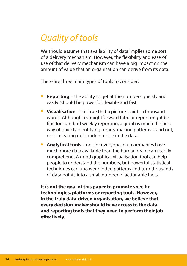#### Quality of tools

We should assume that availability of data implies some sort of a delivery mechanism. However, the fexibility and ease of use of that delivery mechanism can have a big impact on the amount of value that an organisation can derive from its data.

There are three main types of tools to consider:

- **Reporting** the ability to get at the numbers quickly and easily. Should be powerful, fexible and fast.
- **Visualisation** it is true that a picture 'paints a thousand words'. Although a straightforward tabular report might be fne for standard weekly reporting, a graph is much the best way of quickly identifying trends, making patterns stand out, or for clearing out random noise in the data.
- **Analytical tools** not for everyone, but companies have much more data available than the human brain can readily comprehend. A good graphical visualisation tool can help people to understand the numbers, but powerful statistical techniques can uncover hidden patterns and turn thousands of data points into a small number of actionable facts.

**It is not the goal of this paper to promote specifc technologies, platforms or reporting tools. However, in the truly data-driven organisation, we believe that every decision-maker should have access to the data and reporting tools that they need to perform their job efectively.**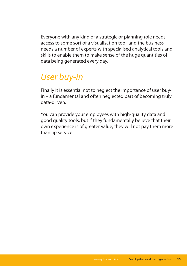Everyone with any kind of a strategic or planning role needs access to some sort of a visualisation tool, and the business needs a number of experts with specialised analytical tools and skills to enable them to make sense of the huge quantities of data being generated every day.

#### User buy-in

Finally it is essential not to neglect the importance of user buyin – a fundamental and often neglected part of becoming truly data-driven.

You can provide your employees with high-quality data and good quality tools, but if they fundamentally believe that their own experience is of greater value, they will not pay them more than lip service.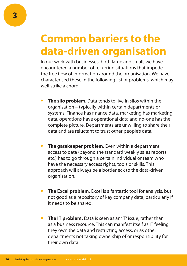### **Common barriers to the data-driven organisation**

In our work with businesses, both large and small, we have encountered a number of recurring situations that impede the free flow of information around the organisation. We have characterised these in the following list of problems, which may well strike a chord:

- **The silo problem**. Data tends to live in silos within the organisation – typically within certain departments or systems. Finance has fnance data, marketing has marketing data, operations have operational data and no-one has the complete picture. Departments are unwilling to share their data and are reluctant to trust other people's data.
- **The gatekeeper problem.** Even within a department, access to data (beyond the standard weekly sales reports etc.) has to go through a certain individual or team who have the necessary access rights, tools or skills. This approach will always be a bottleneck to the data-driven organisation.
- **The Excel problem.** Excel is a fantastic tool for analysis, but not good as a repository of key company data, particularly if it needs to be shared.
- **The IT problem.** Data is seen as an 'IT' issue, rather than as a business resource. This can manifest itself as IT feeling they own the data and restricting access, or as other departments not taking ownership of or responsibility for their own data.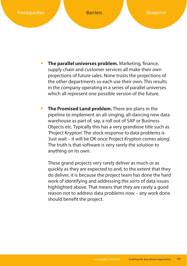

- **The parallel universes problem.** Marketing, finance, supply chain and customer services all make their own projections of future sales. None trusts the projections of the other departments so each use their own. This results in the company operating in a series of parallel universes which all represent one possible version of the future.
- **The Promised Land problem.** There are plans in the pipeline to implement an all-singing, all-dancing new data warehouse as part of, say, a roll out of SAP or Business Objects etc. Typically this has a very grandiose title such as 'Project Krypton'. The stock response to data problems is 'Just wait – it will be OK once Project Krypton comes along'. The truth is that software is very rarely the solution to anything on its own.

These grand projects very rarely deliver as much or as quickly as they are expected to and, to the extent that they do deliver, it is because the project team has done the hard work of identifying and addressing the sorts of data issues highlighted above. That means that they are rarely a good reason not to address data problems now – any work done should beneft the project.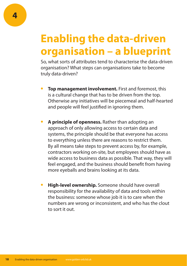## **Enabling the data-driven organisation – a blueprint**

So, what sorts of attributes tend to characterise the data-driven organisation? What steps can organisations take to become truly data-driven?

- **Top management involvement.** First and foremost, this is a cultural change that has to be driven from the top. Otherwise any initiatives will be piecemeal and half-hearted and people will feel justifed in ignoring them.
- **A principle of openness.** Rather than adopting an approach of only allowing access to certain data and systems, the principle should be that everyone has access to everything unless there are reasons to restrict them. By all means take steps to prevent access by, for example, contractors working on-site, but employees should have as wide access to business data as possible. That way, they will feel engaged, and the business should beneft from having more eyeballs and brains looking at its data.
- **High-level ownership.** Someone should have overall responsibility for the availability of data and tools within the business: someone whose job it is to care when the numbers are wrong or inconsistent, and who has the clout to sort it out.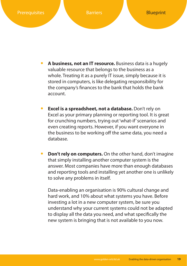

- **t A business, not an IT resource.** Business data is a hugely valuable resource that belongs to the business as a whole. Treating it as a purely IT issue, simply because it is stored in computers, is like delegating responsibility for the company's fnances to the bank that holds the bank account.
- **Excel is a spreadsheet, not a database.** Don't rely on Excel as your primary planning or reporting tool. It is great for crunching numbers, trying out 'what-if' scenarios and even creating reports. However, if you want everyone in the business to be working off the same data, you need a database.
- **Don't rely on computers.** On the other hand, don't imagine that simply installing another computer system is the answer. Most companies have more than enough databases and reporting tools and installing yet another one is unlikely to solve any problems in itself.

Data-enabling an organisation is 90% cultural change and hard work, and 10% about what systems you have. Before investing a lot in a new computer system, be sure you understand why your current systems could not be adapted to display all the data you need, and what specifcally the new system is bringing that is not available to you now.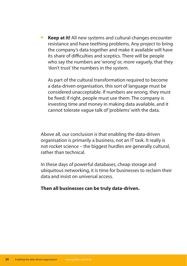**Keep at it!** All new systems and cultural changes encounter resistance and have teething problems. Any project to bring the company's data together and make it available will have its share of difficulties and sceptics. There will be people who say the numbers are 'wrong' or, more vaguely, that they 'don't trust' the numbers in the system.

As part of the cultural transformation required to become a data-driven organisation, this sort of language must be considered unacceptable. If numbers are wrong, they must be fxed; if right, people must use them. The company is investing time and money in making data available, and it cannot tolerate vague talk of 'problems' with the data.

Above all, our conclusion is that enabling the data-driven organisation is primarily a business, not an IT task. It really is not rocket science – the biggest hurdles are generally cultural, rather than technical.

In these days of powerful databases, cheap storage and ubiquitous networking, it is time for businesses to reclaim their data and insist on universal access.

#### **Then all businesses can be truly data-driven.**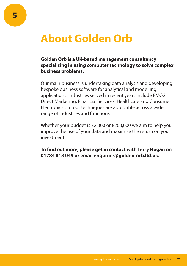### **About Golden Orb**

#### **Golden Orb is a UK-based management consultancy specialising in using computer technology to solve complex business problems.**

Our main business is undertaking data analysis and developing bespoke business software for analytical and modelling applications. Industries served in recent years include FMCG, Direct Marketing, Financial Services, Healthcare and Consumer Electronics but our techniques are applicable across a wide range of industries and functions.

Whether your budget is £2,000 or £200,000 we aim to help you improve the use of your data and maximise the return on your investment.

**To fnd out more, please get in contact with Terry Hogan on 01784 818 049 or email enquiries@golden-orb.ltd.uk.**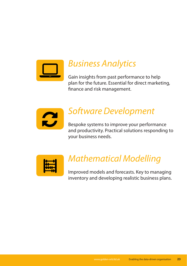

#### Business Analytics

Gain insights from past performance to help plan for the future. Essential for direct marketing, fnance and risk management.



#### Software Development

Bespoke systems to improve your performance and productivity. Practical solutions responding to your business needs.



#### Mathematical Modelling

Improved models and forecasts. Key to managing inventory and developing realistic business plans.